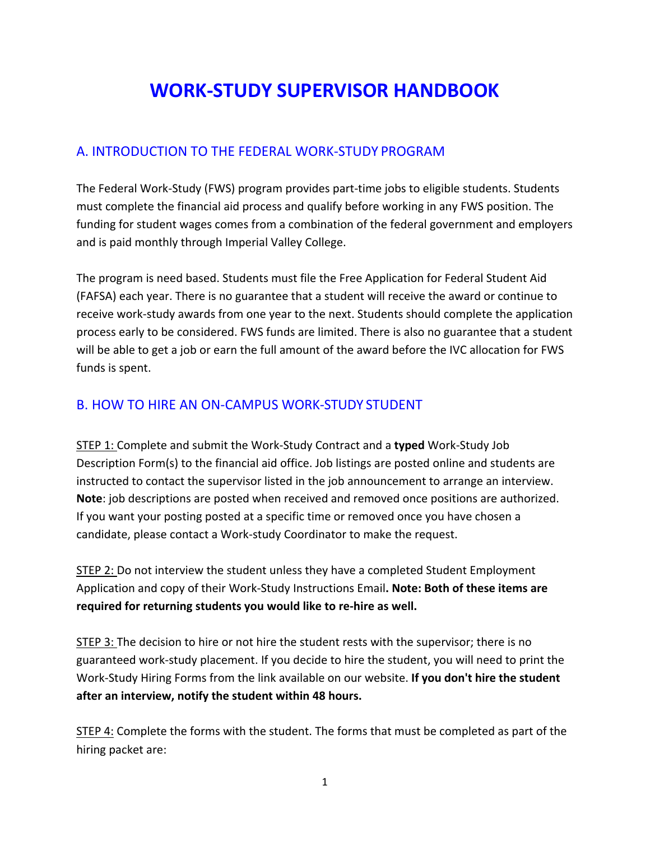# **WORK‐STUDY SUPERVISOR HANDBOOK**

## A. INTRODUCTION TO THE FEDERAL WORK‐STUDY PROGRAM

The Federal Work‐Study (FWS) program provides part‐time jobs to eligible students. Students must complete the financial aid process and qualify before working in any FWS position. The funding for student wages comes from a combination of the federal government and employers and is paid monthly through Imperial Valley College.

The program is need based. Students must file the Free Application for Federal Student Aid (FAFSA) each year. There is no guarantee that a student will receive the award or continue to receive work‐study awards from one year to the next. Students should complete the application process early to be considered. FWS funds are limited. There is also no guarantee that a student will be able to get a job or earn the full amount of the award before the IVC allocation for FWS funds is spent.

## B. HOW TO HIRE AN ON‐CAMPUS WORK‐STUDY STUDENT

STEP 1: Complete and submit the Work‐Study Contract and a **typed** Work‐Study Job Description Form(s) to the financial aid office. Job listings are posted online and students are instructed to contact the supervisor listed in the job announcement to arrange an interview. **Note**: job descriptions are posted when received and removed once positions are authorized. If you want your posting posted at a specific time or removed once you have chosen a candidate, please contact a Work‐study Coordinator to make the request.

STEP 2: Do not interview the student unless they have a completed Student Employment Application and copy of their Work‐Study Instructions Email**. Note: Both of these items are required for returning students you would like to re‐hire as well.** 

STEP 3: The decision to hire or not hire the student rests with the supervisor; there is no guaranteed work‐study placement. If you decide to hire the student, you will need to print the Work‐Study Hiring Forms from the link available on our website. **If you don't hire the student after an interview, notify the student within 48 hours.** 

STEP 4: Complete the forms with the student. The forms that must be completed as part of the hiring packet are: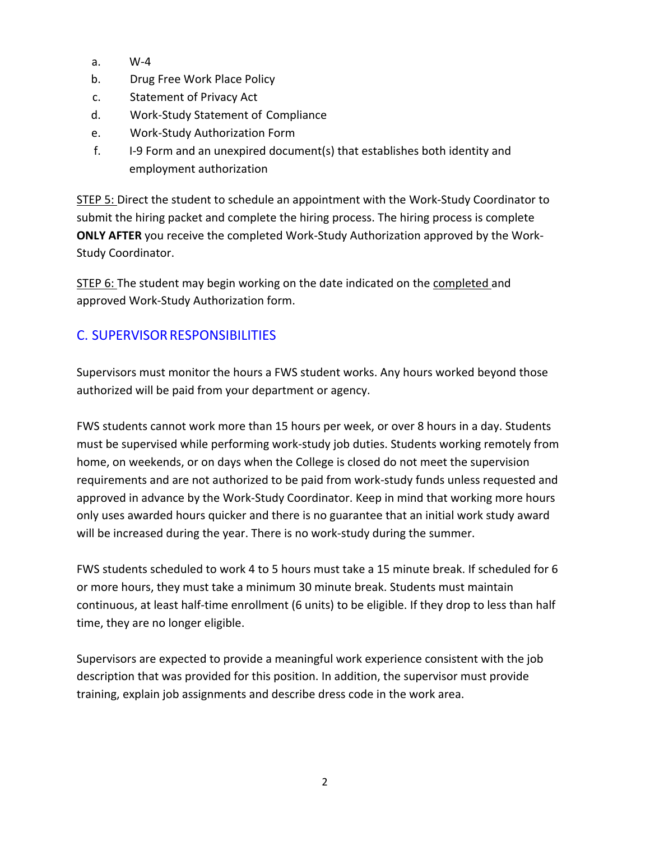- a. W‐4
- b. Drug Free Work Place Policy
- c. Statement of Privacy Act
- d. Work‐Study Statement of Compliance
- e. Work‐Study Authorization Form
- f. I‐9 Form and an unexpired document(s) that establishes both identity and employment authorization

STEP 5: Direct the student to schedule an appointment with the Work‐Study Coordinator to submit the hiring packet and complete the hiring process. The hiring process is complete **ONLY AFTER** you receive the completed Work‐Study Authorization approved by the Work‐ Study Coordinator.

STEP 6: The student may begin working on the date indicated on the completed and approved Work‐Study Authorization form.

# C. SUPERVISOR RESPONSIBILITIES

Supervisors must monitor the hours a FWS student works. Any hours worked beyond those authorized will be paid from your department or agency.

FWS students cannot work more than 15 hours per week, or over 8 hours in a day. Students must be supervised while performing work‐study job duties. Students working remotely from home, on weekends, or on days when the College is closed do not meet the supervision requirements and are not authorized to be paid from work‐study funds unless requested and approved in advance by the Work‐Study Coordinator. Keep in mind that working more hours only uses awarded hours quicker and there is no guarantee that an initial work study award will be increased during the year. There is no work-study during the summer.

FWS students scheduled to work 4 to 5 hours must take a 15 minute break. If scheduled for 6 or more hours, they must take a minimum 30 minute break. Students must maintain continuous, at least half‐time enrollment (6 units) to be eligible. If they drop to less than half time, they are no longer eligible.

Supervisors are expected to provide a meaningful work experience consistent with the job description that was provided for this position. In addition, the supervisor must provide training, explain job assignments and describe dress code in the work area.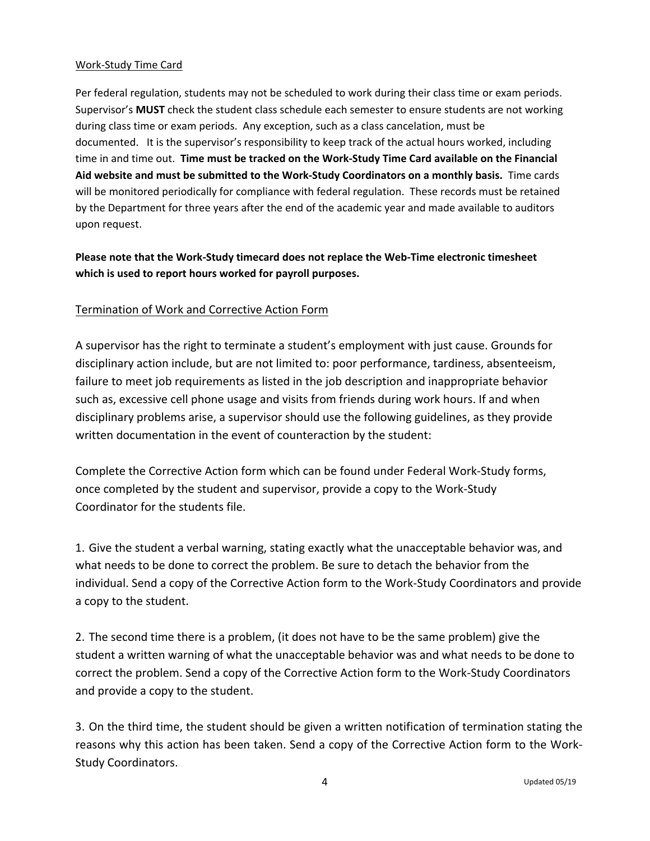#### Work‐Study Time Card

Per federal regulation, students may not be scheduled to work during their class time or exam periods. Supervisor's **MUST** check the student class schedule each semester to ensure students are not working during class time or exam periods. Any exception, such as a class cancelation, must be documented. It is the supervisor's responsibility to keep track of the actual hours worked, including time in and time out. **Time must be tracked on the Work‐Study Time Card available on the Financial Aid website and must be submitted to the Work‐Study Coordinators on a monthly basis.** Time cards will be monitored periodically for compliance with federal regulation. These records must be retained by the Department for three years after the end of the academic year and made available to auditors upon request.

### **Please note that the Work‐Study timecard does not replace the Web‐Time electronic timesheet which is used to report hours worked for payroll purposes.**

#### Termination of Work and Corrective Action Form

A supervisor has the right to terminate a student's employment with just cause. Grounds for disciplinary action include, but are not limited to: poor performance, tardiness, absenteeism, failure to meet job requirements as listed in the job description and inappropriate behavior such as, excessive cell phone usage and visits from friends during work hours. If and when disciplinary problems arise, a supervisor should use the following guidelines, as they provide written documentation in the event of counteraction by the student:

Complete the Corrective Action form which can be found under Federal Work‐Study forms, once completed by the student and supervisor, provide a copy to the Work‐Study Coordinator for the students file.

1. Give the student a verbal warning, stating exactly what the unacceptable behavior was, and what needs to be done to correct the problem. Be sure to detach the behavior from the individual. Send a copy of the Corrective Action form to the Work‐Study Coordinators and provide a copy to the student.

2. The second time there is a problem, (it does not have to be the same problem) give the student a written warning of what the unacceptable behavior was and what needs to be done to correct the problem. Send a copy of the Corrective Action form to the Work‐Study Coordinators and provide a copy to the student.

3. On the third time, the student should be given a written notification of termination stating the reasons why this action has been taken. Send a copy of the Corrective Action form to the Work‐ Study Coordinators.